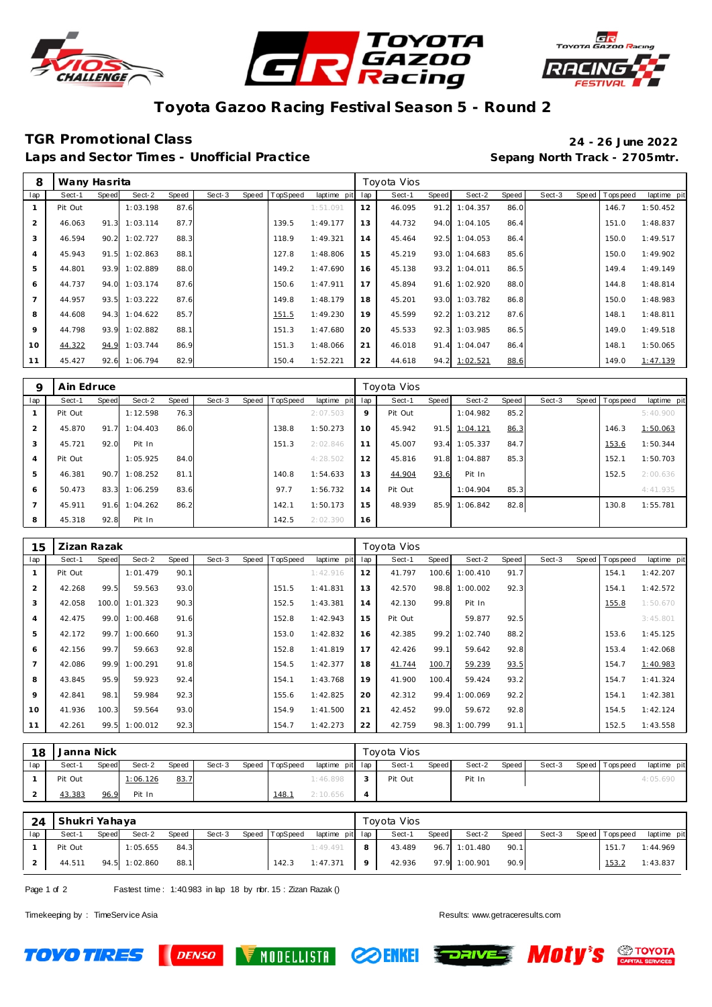





# **Toyota Gazoo Racing Festival Season 5 - Round 2**

### **TGR Promot ional Class 24 - 26 June 2022**

Laps and Sector Times - Unofficial Practice **Sepang North Track - 2705mtr.** 

| 8              | Wany Hasrita |       |               |       |        |       |          |             |     | Toyota Vios |       |               |       |        |       |            |             |
|----------------|--------------|-------|---------------|-------|--------|-------|----------|-------------|-----|-------------|-------|---------------|-------|--------|-------|------------|-------------|
| lap            | Sect-1       | Speed | Sect-2        | Speed | Sect-3 | Speed | TopSpeed | laptime pit | lap | Sect-1      | Speed | Sect-2        | Speed | Sect-3 | Speed | Tops pee d | laptime pit |
|                | Pit Out      |       | 1:03.198      | 87.6  |        |       |          | 1:51.091    | 12  | 46.095      | 91.2  | 1:04.357      | 86.0  |        |       | 146.7      | 1:50.452    |
| 2              | 46.063       | 91.3  | 1:03.114      | 87.7  |        |       | 139.5    | 1:49.177    | 13  | 44.732      | 94.0  | 1:04.105      | 86.4  |        |       | 151.0      | 1:48.837    |
| 3              | 46.594       | 90.2  | 1:02.727      | 88.3  |        |       | 118.9    | 1:49.321    | 14  | 45.464      | 92.5  | 1:04.053      | 86.4  |        |       | 150.0      | 1:49.517    |
| $\overline{4}$ | 45.943       | 91.5  | 1:02.863      | 88.   |        |       | 127.8    | 1:48.806    | 15  | 45.219      | 93.0  | 1:04.683      | 85.6  |        |       | 150.0      | 1:49.902    |
| 5              | 44.801       |       | 93.9 1:02.889 | 88.0  |        |       | 149.2    | 1:47.690    | 16  | 45.138      | 93.2  | 1:04.011      | 86.5  |        |       | 149.4      | 1:49.149    |
| 6              | 44.737       |       | 94.0 1:03.174 | 87.6  |        |       | 150.6    | 1:47.911    | 17  | 45.894      | 91.6  | 1:02.920      | 88.0  |        |       | 144.8      | 1:48.814    |
| $\overline{7}$ | 44.957       |       | 93.5 1:03.222 | 87.6  |        |       | 149.8    | 1:48.179    | 18  | 45.201      | 93.0  | 1:03.782      | 86.8  |        |       | 150.0      | 1:48.983    |
| 8              | 44.608       |       | 94.3 1:04.622 | 85.7  |        |       | 151.5    | 1:49.230    | 19  | 45.599      | 92.2  | 1:03.212      | 87.6  |        |       | 148.1      | 1:48.811    |
| 9              | 44.798       |       | 93.9 1:02.882 | 88.   |        |       | 151.3    | 1:47.680    | 20  | 45.533      | 92.3  | 1:03.985      | 86.5  |        |       | 149.0      | 1:49.518    |
| 10             | 44.322       | 94.9  | 1:03.744      | 86.9  |        |       | 151.3    | 1:48.066    | 21  | 46.018      | 91.4  | 1:04.047      | 86.4  |        |       | 148.1      | 1:50.065    |
| 11             | 45.427       |       | 92.6 1:06.794 | 82.9  |        |       | 150.4    | 1:52.221    | 22  | 44.618      |       | 94.2 1:02.521 | 88.6  |        |       | 149.0      | 1:47.139    |

| Q              | Ain Edruce |       |          |       |        |                |                 |    | Toyota Vios |       |          |       |        |                |             |
|----------------|------------|-------|----------|-------|--------|----------------|-----------------|----|-------------|-------|----------|-------|--------|----------------|-------------|
| lap            | Sect-1     | Speed | Sect-2   | Speed | Sect-3 | Speed TopSpeed | laptime pit lap |    | Sect-1      | Speed | Sect-2   | Speed | Sect-3 | Speed Topspeed | laptime pit |
|                | Pit Out    |       | 1:12.598 | 76.3  |        |                | 2:07.503        | 9  | Pit Out     |       | 1:04.982 | 85.2  |        |                | 5:40.900    |
| $\overline{2}$ | 45.870     | 91.7  | 1:04.403 | 86.0  |        | 138.8          | 1:50.273        | 10 | 45.942      | 91.5  | 1:04.121 | 86.3  |        | 146.3          | 1:50.063    |
| 3              | 45.721     | 92.0  | Pit In   |       |        | 151.3          | 2:02.846        | 11 | 45.007      | 93.4  | 1:05.337 | 84.7  |        | 153.6          | 1:50.344    |
| $\overline{4}$ | Pit Out    |       | 1:05.925 | 84.0  |        |                | 4:28.502        | 12 | 45.816      | 91.8  | 1:04.887 | 85.3  |        | 152.1          | 1:50.703    |
| 5              | 46.381     | 90.7  | 1:08.252 | 81.1  |        | 140.8          | 1:54.633        | 13 | 44.904      | 93.6  | Pit In   |       |        | 152.5          | 2:00.636    |
| 6              | 50.473     | 83.3  | 1:06.259 | 83.6  |        | 97.7           | 1:56.732        | 14 | Pit Out     |       | 1:04.904 | 85.3  |        |                | 4:41.935    |
|                | 45.911     | 91.6  | 1:04.262 | 86.2  |        | 142.1          | 1:50.173        | 15 | 48.939      | 85.9  | 1:06.842 | 82.8  |        | 130.8          | 1:55.781    |
| 8              | 45.318     | 92.8  | Pit In   |       |        | 142.5          | 2:02.390        | 16 |             |       |          |       |        |                |             |

| 15             | Zizan Razak |       |          |       |        |       |          |             |     | Toyota Vios |       |                |       |        |                |             |
|----------------|-------------|-------|----------|-------|--------|-------|----------|-------------|-----|-------------|-------|----------------|-------|--------|----------------|-------------|
| lap            | Sect-1      | Speed | Sect-2   | Speed | Sect-3 | Speed | TopSpeed | laptime pit | lap | Sect-1      | Speed | Sect-2         | Speed | Sect-3 | Speed Topspeed | laptime pit |
|                | Pit Out     |       | 1:01.479 | 90.1  |        |       |          | 1:42.916    | 12  | 41.797      |       | 100.6 1:00.410 | 91.7  |        | 154.1          | 1:42.207    |
| $\overline{2}$ | 42.268      | 99.5  | 59.563   | 93.0  |        |       | 151.5    | 1:41.831    | 13  | 42.570      |       | 98.8 1:00.002  | 92.3  |        | 154.1          | 1:42.572    |
| 3              | 42.058      | 100.0 | 1:01.323 | 90.3  |        |       | 152.5    | 1:43.381    | 14  | 42.130      | 99.8  | Pit In         |       |        | 155.8          | 1:50.670    |
| $\overline{A}$ | 42.475      | 99.0  | 1:00.468 | 91.6  |        |       | 152.8    | 1:42.943    | 15  | Pit Out     |       | 59.877         | 92.5  |        |                | 3:45.801    |
| 5              | 42.172      | 99.7  | 1:00.660 | 91.3  |        |       | 153.0    | 1:42.832    | 16  | 42.385      | 99.2  | 1:02.740       | 88.2  |        | 153.6          | 1:45.125    |
| 6              | 42.156      | 99.7  | 59.663   | 92.8  |        |       | 152.8    | 1:41.819    | 17  | 42.426      | 99.1  | 59.642         | 92.8  |        | 153.4          | 1:42.068    |
| $\overline{7}$ | 42.086      | 99.9  | 1:00.291 | 91.8  |        |       | 154.5    | 1:42.377    | 18  | 41.744      | 100.7 | 59.239         | 93.5  |        | 154.7          | 1:40.983    |
| 8              | 43.845      | 95.9  | 59.923   | 92.4  |        |       | 154.1    | 1:43.768    | 19  | 41.900      | 100.4 | 59.424         | 93.2  |        | 154.7          | 1:41.324    |
| 9              | 42.841      | 98.1  | 59.984   | 92.3  |        |       | 155.6    | 1:42.825    | 20  | 42.312      | 99.4  | 1:00.069       | 92.2  |        | 154.1          | 1:42.381    |
| 10             | 41.936      | 100.3 | 59.564   | 93.0  |        |       | 154.9    | 1:41.500    | 21  | 42.452      | 99.0  | 59.672         | 92.8  |        | 154.5          | 1:42.124    |
| 11             | 42.261      | 99.5  | 1:00.012 | 92.3  |        |       | 154.7    | 1:42.273    | 22  | 42.759      |       | 98.3 1:00.799  | 91.1  |        | 152.5          | 1:43.558    |

| 18  | Janna Nick |              |          |       |        |       |          |                 | Tovota Vios |       |        |       |        |                 |             |
|-----|------------|--------------|----------|-------|--------|-------|----------|-----------------|-------------|-------|--------|-------|--------|-----------------|-------------|
| lap | Sect-1     | <b>Speed</b> | Sect-2   | Speed | Sect-3 | Speed | TopSpeed | laptime pit lap | Sect-1      | Speed | Sect-2 | Speed | Sect-3 | Speed Tops peed | laptime pit |
|     | Pit Out    |              | 1:06.126 | 83.7  |        |       |          | 1:46.898        | Pit Out     |       | Pit In |       |        |                 | 4:05.690    |
|     | 43.383     | 96.9         | Pit In   |       |        |       | 148.     | 2:10.656        |             |       |        |       |        |                 |             |

| 24  | Shukri Yahaya |       |               |       |        |                |                 |                | Toyota Vios |       |               |       |        |                 |             |
|-----|---------------|-------|---------------|-------|--------|----------------|-----------------|----------------|-------------|-------|---------------|-------|--------|-----------------|-------------|
| lap | Sect-1        | Speed | Sect-2        | Speed | Sect-3 | Speed TopSpeed | laptime pit lap |                | Sect-1      | Speed | Sect-2        | Speed | Sect-3 | Speed Tops peed | laptime pit |
|     | Pit Out       |       | 1:05.655      | 84.3  |        |                | 1:49.491        | 8              | 43.489      |       | 96.7 1:01.480 | 90.1  |        | 151.7           | 1:44.969    |
|     | 44.511        |       | 94.5 1:02.860 | 88.1  |        | 142.3          | 1:47.371        | 9 <sup>1</sup> | 42.936      |       | 97.9 1:00.901 | 90.9  |        | 153.2           | 1:43.837    |

Page 1 of 2 Fastest time: 1:40.983 in lap 18 by nbr. 15 : Zizan Razak ()

**DENSO** 

Timekeeping by : TimeServ ice Asia Results: <www.getraceresults.com>